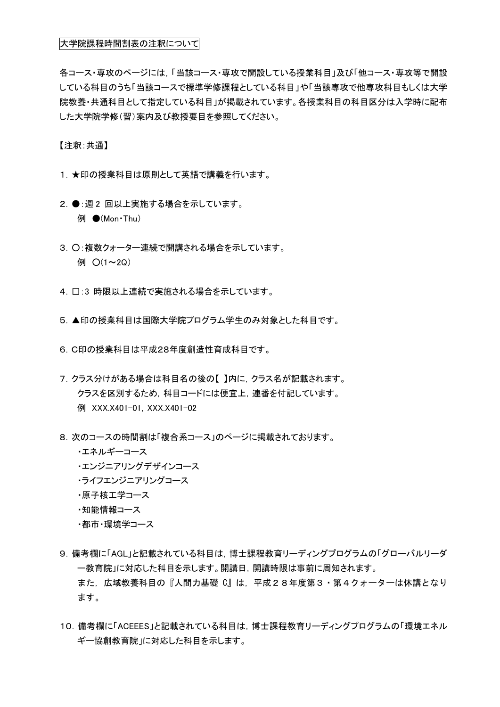## 大学院課程時間割表の注釈について

各コース・専攻のページには,「当該コース・専攻で開設している授業科目」及び「他コース・専攻等で開設 している科目のうち「当該コースで標準学修課程としている科目」や「当該専攻で他専攻科目もしくは大学 院教養・共通科目として指定している科目」が掲載されています。各授業科目の科目区分は入学時に配布 した大学院学修(習)案内及び教授要目を参照してください。

【注釈:共通】

- 1. ★印の授業科目は原則として英語で講義を行います。
- 2. ●: 週2 回以上実施する場合を示しています。 **例 ●(Mon**·Thu)
- 3. ○:複数クォーター連続で開講される場合を示しています。 例  $O(1 \sim 2Q)$
- 4. □:3 時限以上連続で実施される場合を示しています。
- 5.▲印の授業科目は国際大学院プログラム学生のみ対象とした科目です。
- 6.C印の授業科目は平成28年度創造性育成科目です。
- 7.クラス分けがある場合は科目名の後の【 】内に,クラス名が記載されます。 クラスを区別するため,科目コードには便宜上,連番を付記しています。 例 XXX.X401-01,XXX.X401-02
- 8.次のコースの時間割は「複合系コース」のページに掲載されております。
	- ・エネルギーコース
	- ・エンジニアリングデザインコース
	- ・ライフエンジニアリングコース
	- ・原子核工学コース
	- ・知能情報コース
	- ・都市・環境学コース
- 9.備考欄に「AGL」と記載されている科目は,博士課程教育リーディングプログラムの「グローバルリーダ ー教育院」に対応した科目を示します。開講日,開講時限は事前に周知されます。 また,広域教養科目の『人間力基礎 C』は,平成28年度第3・第4クォーターは休講となり ます。
- 10.備考欄に「ACEEES」と記載されている科目は,博士課程教育リーディングプログラムの「環境エネル ギー協創教育院」に対応した科目を示します。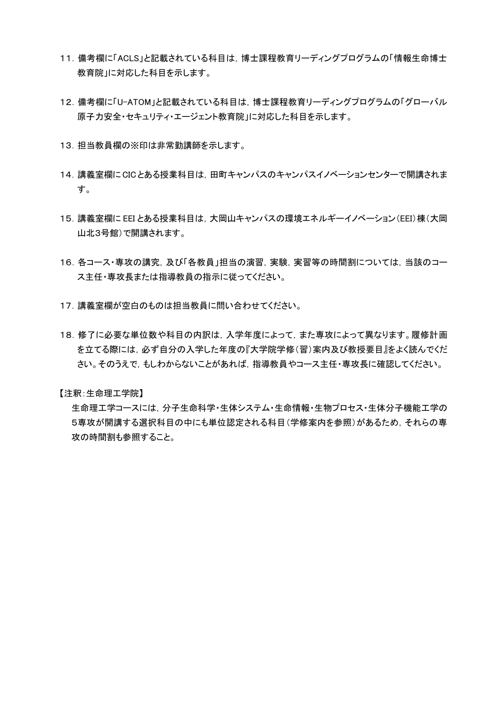- 11.備考欄に「ACLS」と記載されている科目は,博士課程教育リーディングプログラムの「情報生命博士 教育院」に対応した科目を示します。
- 12.備考欄に「U-ATOM」と記載されている科目は,博士課程教育リーディングプログラムの「グローバル 原子力安全・セキュリティ・エージェント教育院」に対応した科目を示します。
- 13. 担当教員欄の※印は非常勤講師を示します。
- 14.講義室欄にCICとある授業科目は,田町キャンパスのキャンパスイノベーションセンターで開講されま す。
- 15.講義室欄に EEI とある授業科目は,大岡山キャンパスの環境エネルギーイノベーション(EEI)棟(大岡 山北3号館)で開講されます。
- 16.各コース・専攻の講究,及び「各教員」担当の演習,実験,実習等の時間割については,当該のコー ス主任・専攻長または指導教員の指示に従ってください。
- 17.講義室欄が空白のものは担当教員に問い合わせてください。
- 18.修了に必要な単位数や科目の内訳は,入学年度によって,また専攻によって異なります。履修計画 を立てる際には,必ず自分の入学した年度の『大学院学修(習)案内及び教授要目』をよく読んでくだ さい。そのうえで,もしわからないことがあれば,指導教員やコース主任・専攻長に確認してください。

【注釈:生命理工学院】

生命理工学コースには,分子生命科学・生体システム・生命情報・生物プロセス・生体分子機能工学の 5専攻が開講する選択科目の中にも単位認定される科目(学修案内を参照)があるため,それらの専 攻の時間割も参照すること。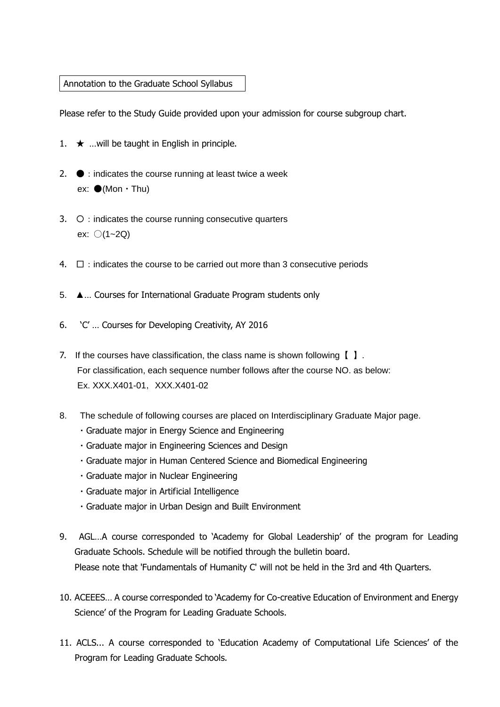## Annotation to the Graduate School Syllabus

Please refer to the Study Guide provided upon your admission for course subgroup chart.

- 1.  $\star$  …will be taught in English in principle.
- 2.  $\bullet$  : indicates the course running at least twice a week ex:  $\bullet$ (Mon  $\cdot$  Thu)
- $3. \quad \circ$  : indicates the course running consecutive quarters ex: 〇(1~2Q)
- 4.  $\Box$ : indicates the course to be carried out more than 3 consecutive periods
- 5. ▲… Courses for International Graduate Program students only
- 6. 'C' … Courses for Developing Creativity, AY 2016
- 7. If the courses have classification, the class name is shown following【 】. For classification, each sequence number follows after the course NO. as below: Ex. XXX.X401-01,XXX.X401-02
- 8. The schedule of following courses are placed on Interdisciplinary Graduate Major page.
	- ・Graduate major in Energy Science and Engineering
	- ・Graduate major in Engineering Sciences and Design
	- ・Graduate major in Human Centered Science and Biomedical Engineering
	- ・Graduate major in Nuclear Engineering
	- ・Graduate major in Artificial Intelligence
	- ・Graduate major in Urban Design and Built Environment
- 9. AGL…A course corresponded to 'Academy for Global Leadership' of the program for Leading Graduate Schools. Schedule will be notified through the bulletin board. Please note that 'Fundamentals of Humanity C' will not be held in the 3rd and 4th Quarters.
- 10. ACEEES… A course corresponded to 'Academy for Co-creative Education of Environment and Energy Science' of the Program for Leading Graduate Schools.
- 11. ACLS... A course corresponded to 'Education Academy of Computational Life Sciences' of the Program for Leading Graduate Schools.